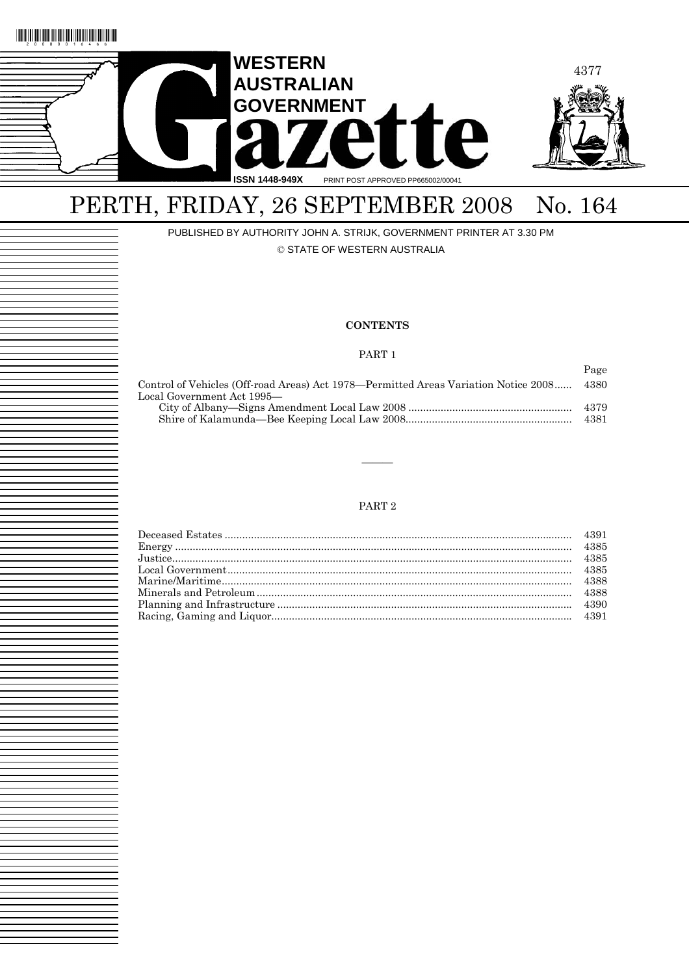

# PERTH, FRIDAY, 26 SEPTEMBER 2008 No. 164

PUBLISHED BY AUTHORITY JOHN A. STRIJK, GOVERNMENT PRINTER AT 3.30 PM

© STATE OF WESTERN AUSTRALIA

## **CONTENTS**

## PART 1

|                                                                                     | Page |
|-------------------------------------------------------------------------------------|------|
| Control of Vehicles (Off-road Areas) Act 1978—Permitted Areas Variation Notice 2008 | 4380 |
| Local Government Act 1995—                                                          |      |
|                                                                                     | 4379 |
|                                                                                     | 4381 |

## PART 2

———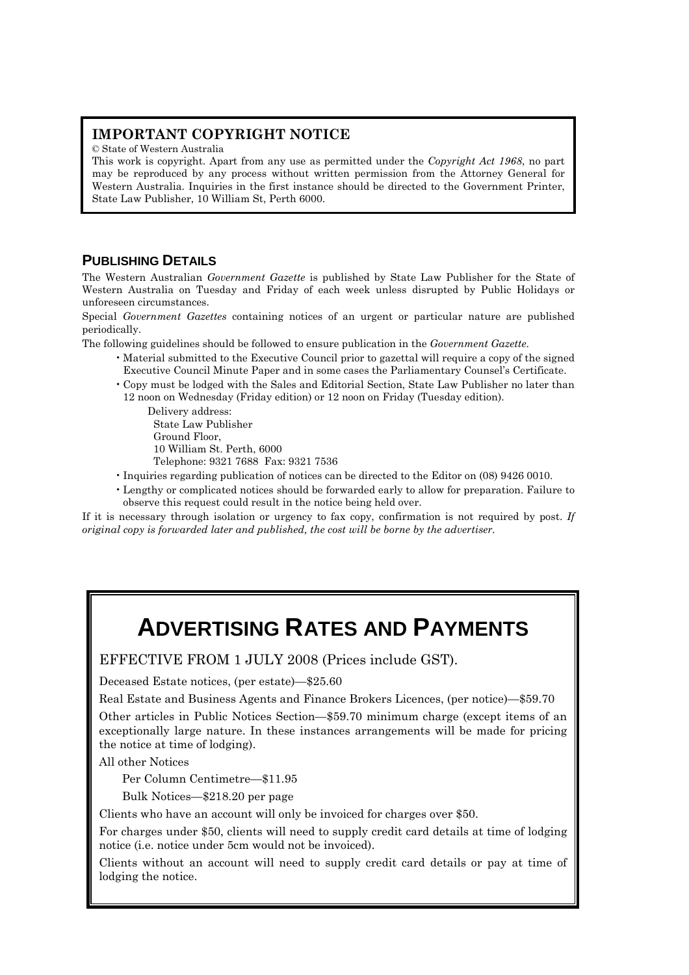## **IMPORTANT COPYRIGHT NOTICE**

© State of Western Australia

This work is copyright. Apart from any use as permitted under the *Copyright Act 1968*, no part may be reproduced by any process without written permission from the Attorney General for Western Australia. Inquiries in the first instance should be directed to the Government Printer, State Law Publisher, 10 William St, Perth 6000.

## **PUBLISHING DETAILS**

The Western Australian *Government Gazette* is published by State Law Publisher for the State of Western Australia on Tuesday and Friday of each week unless disrupted by Public Holidays or unforeseen circumstances.

Special *Government Gazettes* containing notices of an urgent or particular nature are published periodically.

The following guidelines should be followed to ensure publication in the *Government Gazette*.

- Material submitted to the Executive Council prior to gazettal will require a copy of the signed Executive Council Minute Paper and in some cases the Parliamentary Counsel's Certificate.
- Copy must be lodged with the Sales and Editorial Section, State Law Publisher no later than 12 noon on Wednesday (Friday edition) or 12 noon on Friday (Tuesday edition).

Delivery address: State Law Publisher Ground Floor, 10 William St. Perth, 6000 Telephone: 9321 7688 Fax: 9321 7536

- Inquiries regarding publication of notices can be directed to the Editor on (08) 9426 0010.
- Lengthy or complicated notices should be forwarded early to allow for preparation. Failure to observe this request could result in the notice being held over.

If it is necessary through isolation or urgency to fax copy, confirmation is not required by post. *If original copy is forwarded later and published, the cost will be borne by the advertiser.* 

# **ADVERTISING RATES AND PAYMENTS**

EFFECTIVE FROM 1 JULY 2008 (Prices include GST).

Deceased Estate notices, (per estate)—\$25.60

Real Estate and Business Agents and Finance Brokers Licences, (per notice)—\$59.70

Other articles in Public Notices Section—\$59.70 minimum charge (except items of an exceptionally large nature. In these instances arrangements will be made for pricing the notice at time of lodging).

All other Notices

Per Column Centimetre—\$11.95

Bulk Notices—\$218.20 per page

Clients who have an account will only be invoiced for charges over \$50.

For charges under \$50, clients will need to supply credit card details at time of lodging notice (i.e. notice under 5cm would not be invoiced).

Clients without an account will need to supply credit card details or pay at time of lodging the notice.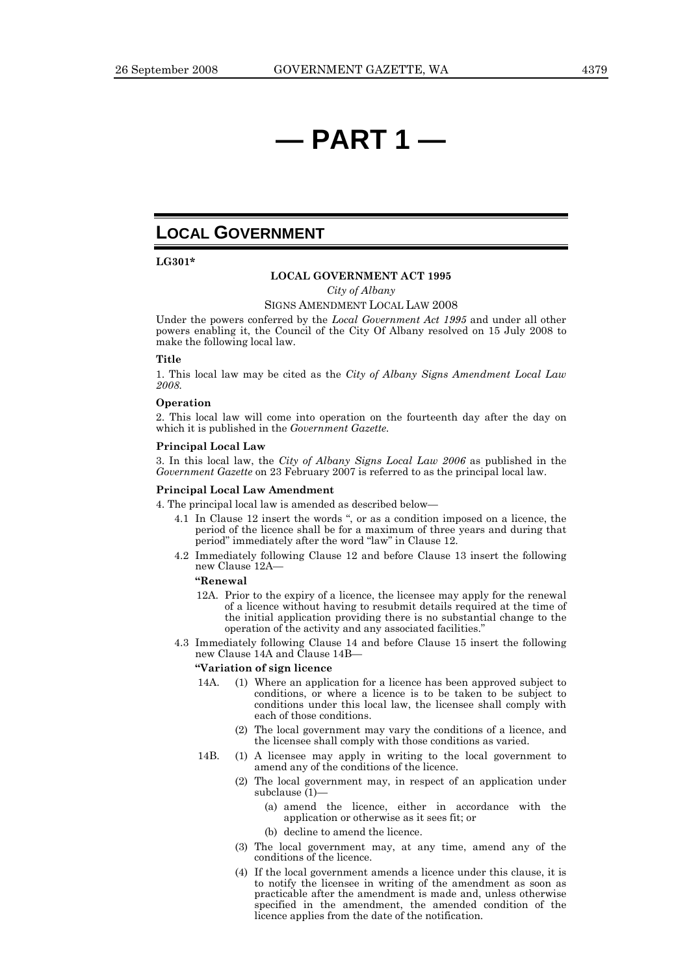# **— PART 1 —**

## **LOCAL GOVERNMENT**

**LG301\*** 

### **LOCAL GOVERNMENT ACT 1995**

*City of Albany* 

### SIGNS AMENDMENT LOCAL LAW 2008

Under the powers conferred by the *Local Government Act 1995* and under all other powers enabling it, the Council of the City Of Albany resolved on 15 July 2008 to make the following local law.

### **Title**

1. This local law may be cited as the *City of Albany Signs Amendment Local Law 2008.*

## **Operation**

2. This local law will come into operation on the fourteenth day after the day on which it is published in the *Government Gazette.*

### **Principal Local Law**

3. In this local law, the *City of Albany Signs Local Law 2006* as published in the *Government Gazette* on 23 February 2007 is referred to as the principal local law.

### **Principal Local Law Amendment**

4. The principal local law is amended as described below—

- 4.1 In Clause 12 insert the words ", or as a condition imposed on a licence, the period of the licence shall be for a maximum of three years and during that period" immediately after the word "law" in Clause 12.
- 4.2 Immediately following Clause 12 and before Clause 13 insert the following new Clause 12A—

## **"Renewal**

- 12A. Prior to the expiry of a licence, the licensee may apply for the renewal of a licence without having to resubmit details required at the time of the initial application providing there is no substantial change to the operation of the activity and any associated facilities."
- 4.3 Immediately following Clause 14 and before Clause 15 insert the following new Clause 14A and Clause 14B—

## **"Variation of sign licence**

- 14A. (1) Where an application for a licence has been approved subject to conditions, or where a licence is to be taken to be subject to conditions under this local law, the licensee shall comply with each of those conditions.
	- (2) The local government may vary the conditions of a licence, and the licensee shall comply with those conditions as varied.
- 14B. (1) A licensee may apply in writing to the local government to amend any of the conditions of the licence.
	- (2) The local government may, in respect of an application under subclause (1)—
		- (a) amend the licence, either in accordance with the application or otherwise as it sees fit; or
		- (b) decline to amend the licence.
	- (3) The local government may, at any time, amend any of the conditions of the licence.
	- (4) If the local government amends a licence under this clause, it is to notify the licensee in writing of the amendment as soon as practicable after the amendment is made and, unless otherwise specified in the amendment, the amended condition of the licence applies from the date of the notification.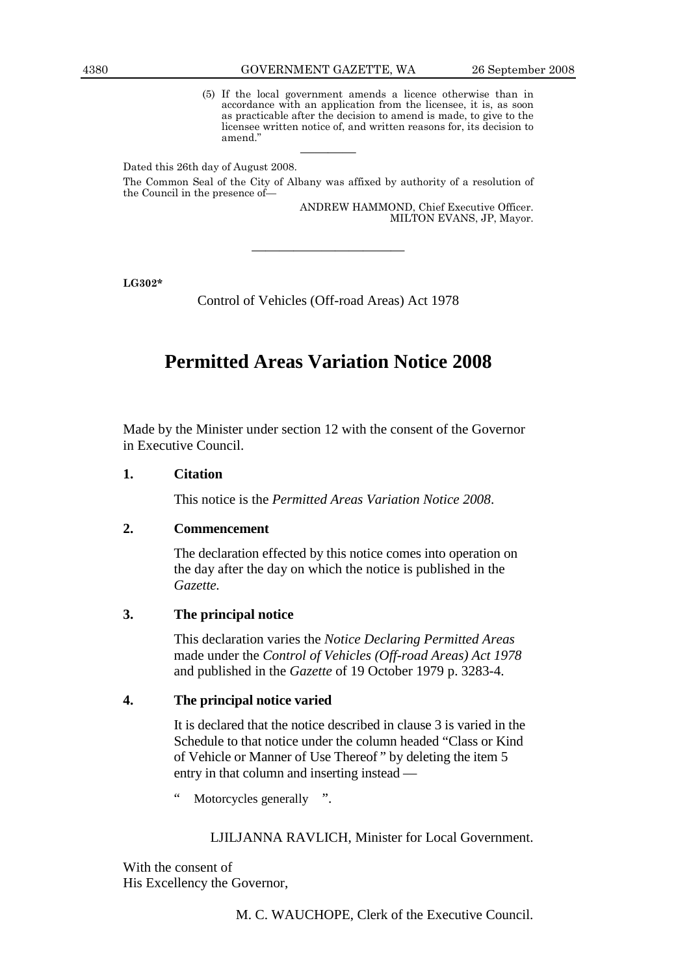(5) If the local government amends a licence otherwise than in accordance with an application from the licensee, it is, as soon as practicable after the decision to amend is made, to give to the licensee written notice of, and written reasons for, its decision to amend."

Dated this 26th day of August 2008.

The Common Seal of the City of Albany was affixed by authority of a resolution of the Council in the presence of—

————

ANDREW HAMMOND, Chief Executive Officer. MILTON EVANS, JP, Mayor.

**LG302\*** 

Control of Vehicles (Off-road Areas) Act 1978

———————————

## **Permitted Areas Variation Notice 2008**

Made by the Minister under section 12 with the consent of the Governor in Executive Council.

## **1. Citation**

This notice is the *Permitted Areas Variation Notice 2008*.

## **2. Commencement**

 The declaration effected by this notice comes into operation on the day after the day on which the notice is published in the *Gazette.*

## **3. The principal notice**

 This declaration varies the *Notice Declaring Permitted Areas* made under the *Control of Vehicles (Off-road Areas) Act 1978* and published in the *Gazette* of 19 October 1979 p. 3283-4.

## **4. The principal notice varied**

 It is declared that the notice described in clause 3 is varied in the Schedule to that notice under the column headed "Class or Kind of Vehicle or Manner of Use Thereof " by deleting the item 5 entry in that column and inserting instead —

Motorcycles generally ".

## LJILJANNA RAVLICH, Minister for Local Government.

With the consent of His Excellency the Governor,

M. C. WAUCHOPE, Clerk of the Executive Council.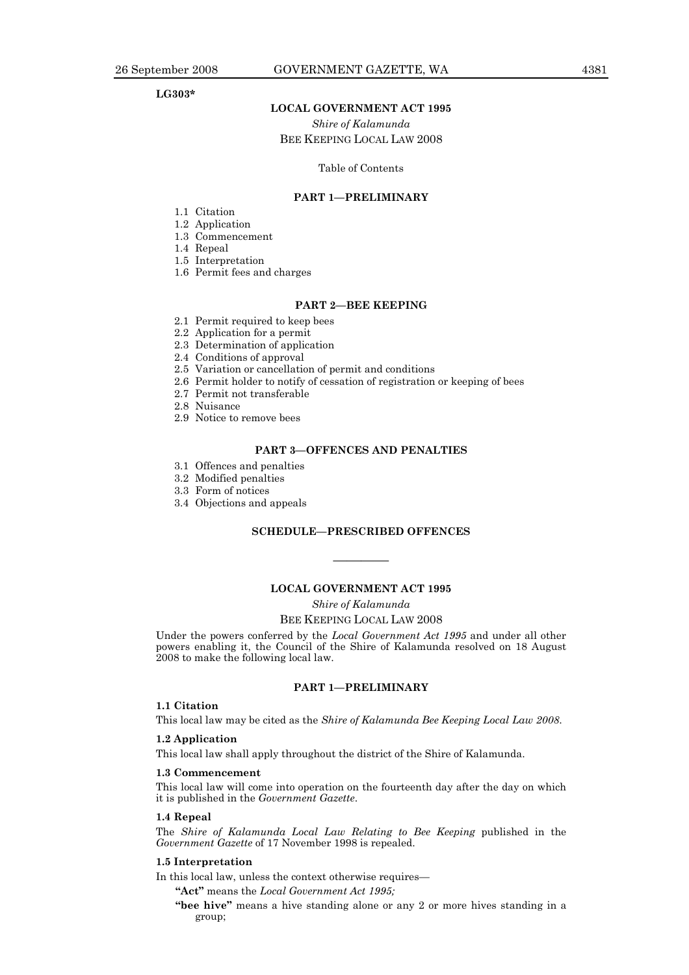## **LG303\***

## **LOCAL GOVERNMENT ACT 1995**

*Shire of Kalamunda*  BEE KEEPING LOCAL LAW 2008

### Table of Contents

## **PART 1—PRELIMINARY**

- 1.1 Citation
- 1.2 Application
- 1.3 Commencement
- 1.4 Repeal
- 1.5 Interpretation
- 1.6 Permit fees and charges

## **PART 2—BEE KEEPING**

- 2.1 Permit required to keep bees
- 2.2 Application for a permit
- 2.3 Determination of application
- 2.4 Conditions of approval
- 2.5 Variation or cancellation of permit and conditions
- 2.6 Permit holder to notify of cessation of registration or keeping of bees
- 2.7 Permit not transferable
- 2.8 Nuisance
- 2.9 Notice to remove bees

## **PART 3—OFFENCES AND PENALTIES**

- 3.1 Offences and penalties
- 3.2 Modified penalties
- 3.3 Form of notices
- 3.4 Objections and appeals

## **SCHEDULE—PRESCRIBED OFFENCES**

————

## **LOCAL GOVERNMENT ACT 1995**

*Shire of Kalamunda* 

### BEE KEEPING LOCAL LAW 2008

Under the powers conferred by the *Local Government Act 1995* and under all other powers enabling it, the Council of the Shire of Kalamunda resolved on 18 August 2008 to make the following local law.

## **PART 1—PRELIMINARY**

## **1.1 Citation**

This local law may be cited as the *Shire of Kalamunda Bee Keeping Local Law 2008*.

## **1.2 Application**

This local law shall apply throughout the district of the Shire of Kalamunda.

## **1.3 Commencement**

This local law will come into operation on the fourteenth day after the day on which it is published in the *Government Gazette*.

## **1.4 Repeal**

The *Shire of Kalamunda Local Law Relating to Bee Keeping* published in the *Government Gazette* of 17 November 1998 is repealed.

## **1.5 Interpretation**

In this local law, unless the context otherwise requires—

**"Act"** means the *Local Government Act 1995;*

**"bee hive"** means a hive standing alone or any 2 or more hives standing in a group;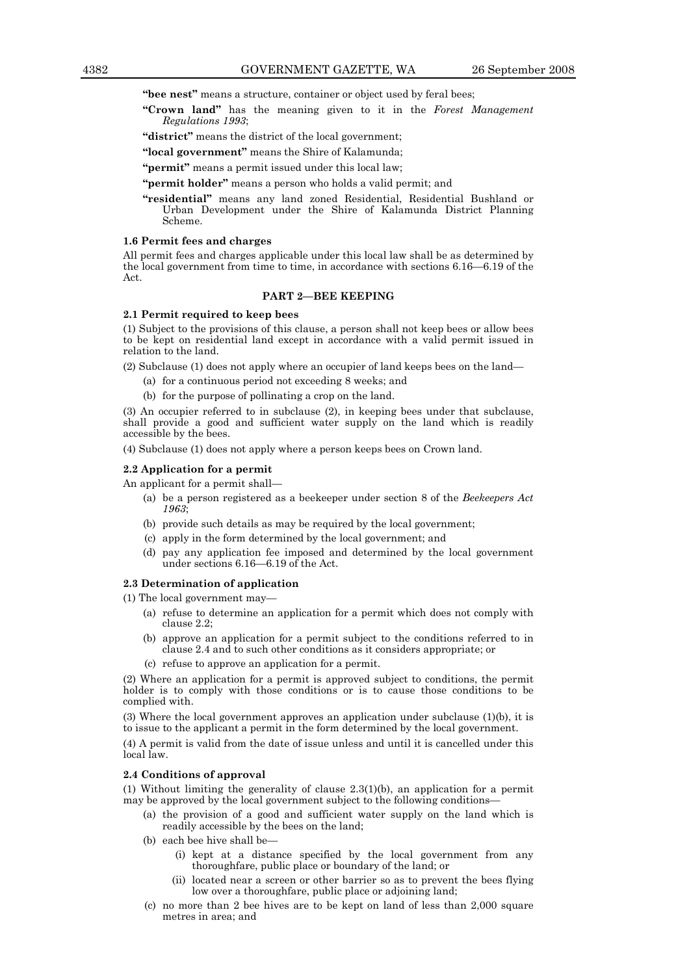**"bee nest"** means a structure, container or object used by feral bees;

**"Crown land"** has the meaning given to it in the *Forest Management Regulations 1993*;

**"district"** means the district of the local government;

- **"local government"** means the Shire of Kalamunda;
- "**permit**" means a permit issued under this local law;

**"permit holder"** means a person who holds a valid permit; and

**"residential"** means any land zoned Residential, Residential Bushland or Urban Development under the Shire of Kalamunda District Planning Scheme.

### **1.6 Permit fees and charges**

All permit fees and charges applicable under this local law shall be as determined by the local government from time to time, in accordance with sections 6.16—6.19 of the Act.

## **PART 2—BEE KEEPING**

### **2.1 Permit required to keep bees**

(1) Subject to the provisions of this clause, a person shall not keep bees or allow bees to be kept on residential land except in accordance with a valid permit issued in relation to the land.

(2) Subclause (1) does not apply where an occupier of land keeps bees on the land—

- (a) for a continuous period not exceeding 8 weeks; and
- (b) for the purpose of pollinating a crop on the land.

(3) An occupier referred to in subclause (2), in keeping bees under that subclause, shall provide a good and sufficient water supply on the land which is readily accessible by the bees.

(4) Subclause (1) does not apply where a person keeps bees on Crown land.

## **2.2 Application for a permit**

An applicant for a permit shall—

- (a) be a person registered as a beekeeper under section 8 of the *Beekeepers Act 1963*;
- (b) provide such details as may be required by the local government;
- (c) apply in the form determined by the local government; and
- (d) pay any application fee imposed and determined by the local government under sections 6.16—6.19 of the Act.

### **2.3 Determination of application**

(1) The local government may—

- (a) refuse to determine an application for a permit which does not comply with clause 2.2;
- (b) approve an application for a permit subject to the conditions referred to in clause 2.4 and to such other conditions as it considers appropriate; or
- (c) refuse to approve an application for a permit.

(2) Where an application for a permit is approved subject to conditions, the permit holder is to comply with those conditions or is to cause those conditions to be complied with.

(3) Where the local government approves an application under subclause (1)(b), it is to issue to the applicant a permit in the form determined by the local government.

(4) A permit is valid from the date of issue unless and until it is cancelled under this local law.

### **2.4 Conditions of approval**

(1) Without limiting the generality of clause 2.3(1)(b), an application for a permit may be approved by the local government subject to the following conditions—

- (a) the provision of a good and sufficient water supply on the land which is readily accessible by the bees on the land;
- (b) each bee hive shall be—
	- (i) kept at a distance specified by the local government from any thoroughfare, public place or boundary of the land; or
	- (ii) located near a screen or other barrier so as to prevent the bees flying low over a thoroughfare, public place or adjoining land;
- (c) no more than 2 bee hives are to be kept on land of less than 2,000 square metres in area; and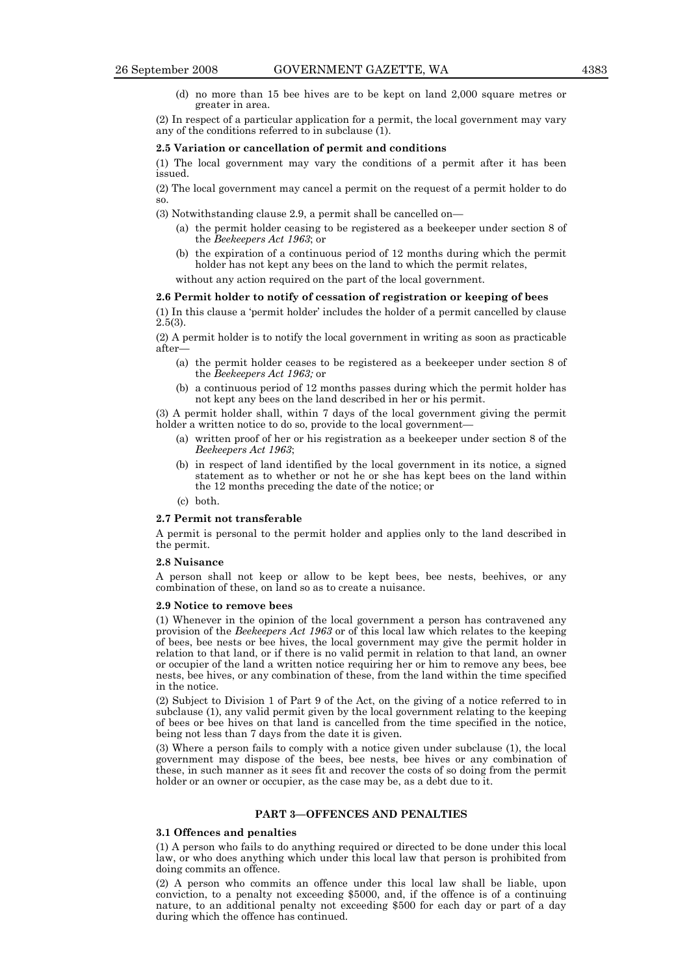(d) no more than 15 bee hives are to be kept on land 2,000 square metres or greater in area.

(2) In respect of a particular application for a permit, the local government may vary any of the conditions referred to in subclause (1).

### **2.5 Variation or cancellation of permit and conditions**

(1) The local government may vary the conditions of a permit after it has been issued.

(2) The local government may cancel a permit on the request of a permit holder to do so.

- (3) Notwithstanding clause 2.9, a permit shall be cancelled on—
	- (a) the permit holder ceasing to be registered as a beekeeper under section 8 of the *Beekeepers Act 1963*; or
	- (b) the expiration of a continuous period of 12 months during which the permit holder has not kept any bees on the land to which the permit relates,

without any action required on the part of the local government.

## **2.6 Permit holder to notify of cessation of registration or keeping of bees**

(1) In this clause a 'permit holder' includes the holder of a permit cancelled by clause 2.5(3).

(2) A permit holder is to notify the local government in writing as soon as practicable after—

- (a) the permit holder ceases to be registered as a beekeeper under section 8 of the *Beekeepers Act 1963;* or
- (b) a continuous period of 12 months passes during which the permit holder has not kept any bees on the land described in her or his permit.

(3) A permit holder shall, within 7 days of the local government giving the permit holder a written notice to do so, provide to the local government-

- (a) written proof of her or his registration as a beekeeper under section 8 of the *Beekeepers Act 1963*;
- (b) in respect of land identified by the local government in its notice, a signed statement as to whether or not he or she has kept bees on the land within the 12 months preceding the date of the notice; or
- (c) both.

### **2.7 Permit not transferable**

A permit is personal to the permit holder and applies only to the land described in the permit.

## **2.8 Nuisance**

A person shall not keep or allow to be kept bees, bee nests, beehives, or any combination of these, on land so as to create a nuisance.

### **2.9 Notice to remove bees**

(1) Whenever in the opinion of the local government a person has contravened any provision of the *Beekeepers Act 1963* or of this local law which relates to the keeping of bees, bee nests or bee hives, the local government may give the permit holder in relation to that land, or if there is no valid permit in relation to that land, an owner or occupier of the land a written notice requiring her or him to remove any bees, bee nests, bee hives, or any combination of these, from the land within the time specified in the notice.

(2) Subject to Division 1 of Part 9 of the Act, on the giving of a notice referred to in subclause (1), any valid permit given by the local government relating to the keeping of bees or bee hives on that land is cancelled from the time specified in the notice, being not less than 7 days from the date it is given.

(3) Where a person fails to comply with a notice given under subclause (1), the local government may dispose of the bees, bee nests, bee hives or any combination of these, in such manner as it sees fit and recover the costs of so doing from the permit holder or an owner or occupier, as the case may be, as a debt due to it.

## **PART 3—OFFENCES AND PENALTIES**

## **3.1 Offences and penalties**

(1) A person who fails to do anything required or directed to be done under this local law, or who does anything which under this local law that person is prohibited from doing commits an offence.

(2) A person who commits an offence under this local law shall be liable, upon conviction, to a penalty not exceeding \$5000, and, if the offence is of a continuing nature, to an additional penalty not exceeding \$500 for each day or part of a day during which the offence has continued.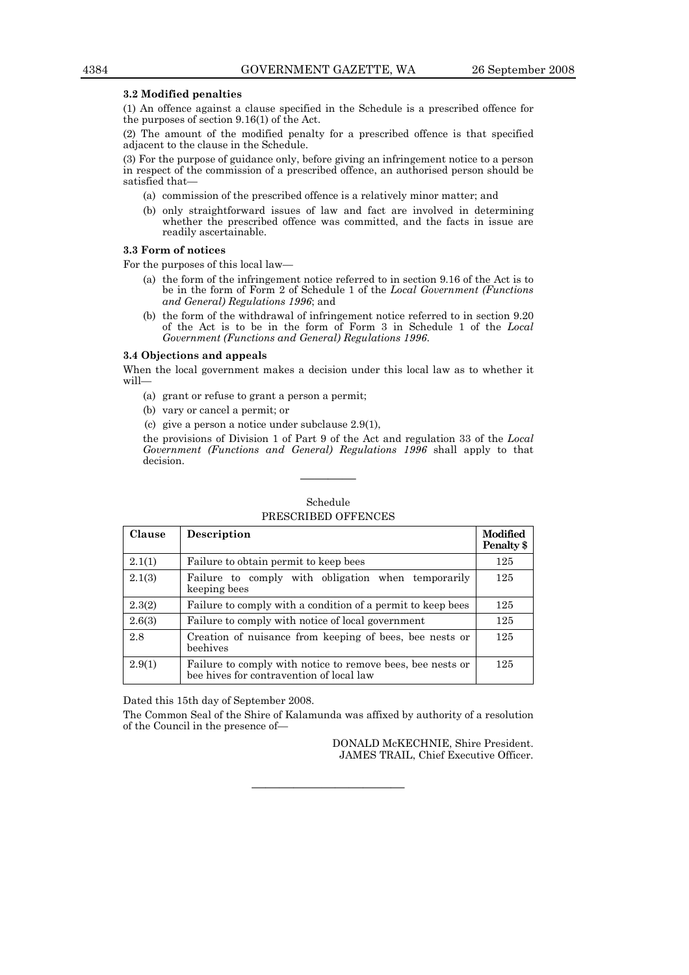## **3.2 Modified penalties**

(1) An offence against a clause specified in the Schedule is a prescribed offence for the purposes of section 9.16(1) of the Act.

(2) The amount of the modified penalty for a prescribed offence is that specified adjacent to the clause in the Schedule.

(3) For the purpose of guidance only, before giving an infringement notice to a person in respect of the commission of a prescribed offence, an authorised person should be satisfied that—

- (a) commission of the prescribed offence is a relatively minor matter; and
- (b) only straightforward issues of law and fact are involved in determining whether the prescribed offence was committed, and the facts in issue are readily ascertainable.

## **3.3 Form of notices**

For the purposes of this local law—

- (a) the form of the infringement notice referred to in section 9.16 of the Act is to be in the form of Form 2 of Schedule 1 of the *Local Government (Functions and General) Regulations 1996*; and
- (b) the form of the withdrawal of infringement notice referred to in section 9.20 of the Act is to be in the form of Form 3 in Schedule 1 of the *Local Government (Functions and General) Regulations 1996*.

### **3.4 Objections and appeals**

When the local government makes a decision under this local law as to whether it will—

- (a) grant or refuse to grant a person a permit;
- (b) vary or cancel a permit; or
- (c) give a person a notice under subclause 2.9(1),

the provisions of Division 1 of Part 9 of the Act and regulation 33 of the *Local Government (Functions and General) Regulations 1996* shall apply to that decision.

| <b>Clause</b> | Description                                                                                            | Modified<br>Penalty \$ |
|---------------|--------------------------------------------------------------------------------------------------------|------------------------|
| 2.1(1)        | Failure to obtain permit to keep bees                                                                  | 125                    |
| 2.1(3)        | Failure to comply with obligation when temporarily<br>keeping bees                                     | 125                    |
| 2.3(2)        | Failure to comply with a condition of a permit to keep bees                                            | 125                    |
| 2.6(3)        | Failure to comply with notice of local government                                                      | 125                    |
| 2.8           | Creation of nuisance from keeping of bees, bee nests or<br>beehives                                    | 125                    |
| 2.9(1)        | Failure to comply with notice to remove bees, bee nests or<br>bee hives for contravention of local law | 125                    |

## Schedule PRESCRIBED OFFENCES

————

Dated this 15th day of September 2008.

The Common Seal of the Shire of Kalamunda was affixed by authority of a resolution of the Council in the presence of—

———————————

DONALD McKECHNIE, Shire President. JAMES TRAIL, Chief Executive Officer.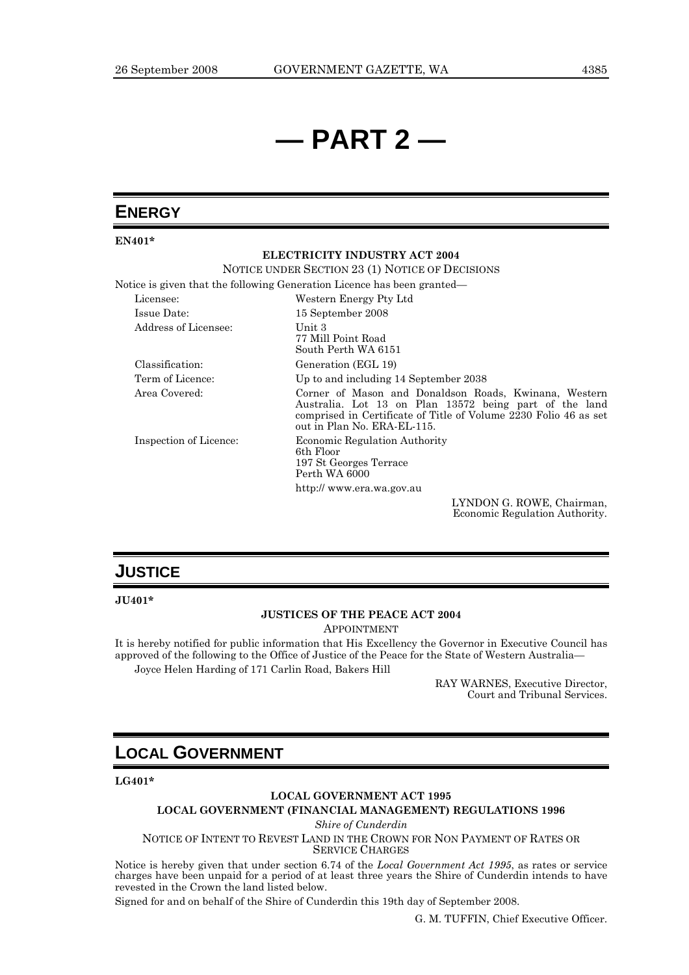# **— PART 2 —**

## **ENERGY**

**EN401\*** 

## **ELECTRICITY INDUSTRY ACT 2004**

NOTICE UNDER SECTION 23 (1) NOTICE OF DECISIONS

Notice is given that the following Generation Licence has been granted—

| Licensee:              | Western Energy Pty Ltd                                                                                                                                                                                             |
|------------------------|--------------------------------------------------------------------------------------------------------------------------------------------------------------------------------------------------------------------|
| Issue Date:            | 15 September 2008                                                                                                                                                                                                  |
| Address of Licensee:   | Unit 3<br>77 Mill Point Road<br>South Perth WA 6151                                                                                                                                                                |
| Classification:        | Generation (EGL 19)                                                                                                                                                                                                |
| Term of Licence:       | Up to and including 14 September 2038                                                                                                                                                                              |
| Area Covered:          | Corner of Mason and Donaldson Roads, Kwinana, Western<br>Australia. Lot 13 on Plan 13572 being part of the land<br>comprised in Certificate of Title of Volume 2230 Folio 46 as set<br>out in Plan No. ERA-EL-115. |
| Inspection of Licence: | <b>Economic Regulation Authority</b><br>6th Floor<br>197 St Georges Terrace<br>Perth WA 6000                                                                                                                       |
|                        | http:// www.era.wa.gov.au                                                                                                                                                                                          |
|                        | I VNIDONI $\cap$ DOWE Chainman                                                                                                                                                                                     |

LYNDON G. ROWE, Chairman, Economic Regulation Authority.

## **JUSTICE**

**JU401\*** 

## **JUSTICES OF THE PEACE ACT 2004**

APPOINTMENT

It is hereby notified for public information that His Excellency the Governor in Executive Council has approved of the following to the Office of Justice of the Peace for the State of Western Australia— Joyce Helen Harding of 171 Carlin Road, Bakers Hill

> RAY WARNES, Executive Director, Court and Tribunal Services.

## **LOCAL GOVERNMENT**

**LG401\*** 

## **LOCAL GOVERNMENT ACT 1995**

**LOCAL GOVERNMENT (FINANCIAL MANAGEMENT) REGULATIONS 1996** 

*Shire of Cunderdin* 

NOTICE OF INTENT TO REVEST LAND IN THE CROWN FOR NON PAYMENT OF RATES OR SERVICE CHARGES

Notice is hereby given that under section 6.74 of the *Local Government Act 1995*, as rates or service charges have been unpaid for a period of at least three years the Shire of Cunderdin intends to have revested in the Crown the land listed below.

Signed for and on behalf of the Shire of Cunderdin this 19th day of September 2008.

G. M. TUFFIN, Chief Executive Officer.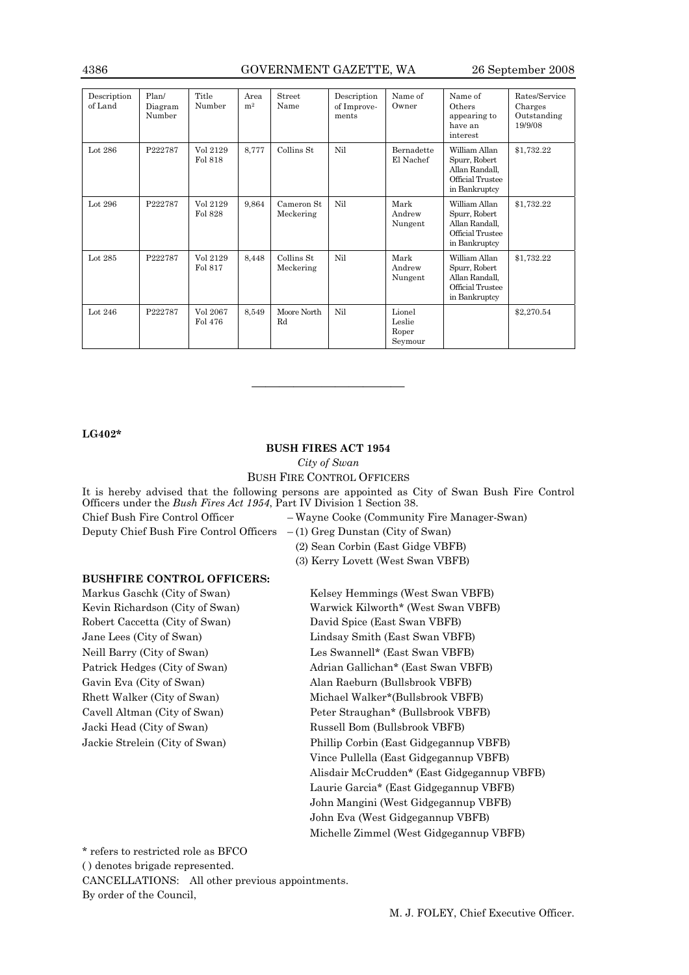## 4386 GOVERNMENT GAZETTE, WA 26 September 2008

| Description<br>of Land | Plan/<br>Diagram<br>Number | Title<br>Number     | Area<br>m <sup>2</sup> | Street<br>Name           | Description<br>of Improve-<br>ments | Name of<br>Owner                     | Name of<br>Others<br>appearing to<br>have an<br>interest                              | Rates/Service<br>Charges<br>Outstanding<br>19/9/08 |
|------------------------|----------------------------|---------------------|------------------------|--------------------------|-------------------------------------|--------------------------------------|---------------------------------------------------------------------------------------|----------------------------------------------------|
| Lot $286$              | P222787                    | Vol 2129<br>Fol 818 | 8,777                  | Collins St               | Nil                                 | <b>Bernadette</b><br>El Nachef       | William Allan<br>Spurr, Robert<br>Allan Randall,<br>Official Trustee<br>in Bankruptcy | \$1,732.22                                         |
| Lot 296                | P222787                    | Vol 2129<br>Fol 828 | 9,864                  | Cameron St.<br>Meckering | Nil                                 | Mark<br>Andrew<br>Nungent            | William Allan<br>Spurr, Robert<br>Allan Randall,<br>Official Trustee<br>in Bankruptcy | \$1,732.22                                         |
| Lot 285                | P222787                    | Vol 2129<br>Fol 817 | 8,448                  | Collins St.<br>Meckering | Nil                                 | Mark<br>Andrew<br>Nungent            | William Allan<br>Spurr, Robert<br>Allan Randall.<br>Official Trustee<br>in Bankruptcy | \$1,732.22                                         |
| Lot 246                | P222787                    | Vol 2067<br>Fol 476 | 8,549                  | Moore North<br>Rd        | Nil                                 | Lionel<br>Leslie<br>Roper<br>Seymour |                                                                                       | \$2,270.54                                         |

## **LG402\***

## **BUSH FIRES ACT 1954**

———————————

*City of Swan* 

BUSH FIRE CONTROL OFFICERS

It is hereby advised that the following persons are appointed as City of Swan Bush Fire Control Officers under the *Bush Fires Act 1954*, Part IV Division 1 Section 38. Chief Bush Fire Control Officer – Wayne Cooke (Community Fire Manager-Swan) Deputy Chief Bush Fire Control Officers – (1) Greg Dunstan (City of Swan)

(2) Sean Corbin (East Gidge VBFB)

(3) Kerry Lovett (West Swan VBFB)

## **BUSHFIRE CONTROL OFFICERS:**

Markus Gaschk (City of Swan) Kevin Richardson (City of Swan) Robert Caccetta (City of Swan) David Spice (East Swan VBFB) Jacki Head (City of Swan) Russell Bom (Bullsbrook VBFB)

Kelsey Hemmings (West Swan VBFB) Warwick Kilworth\* (West Swan VBFB) Jane Lees (City of Swan) Lindsay Smith (East Swan VBFB) Neill Barry (City of Swan) Les Swannell\* (East Swan VBFB) Patrick Hedges (City of Swan) Adrian Gallichan\* (East Swan VBFB) Gavin Eva (City of Swan) Alan Raeburn (Bullsbrook VBFB) Rhett Walker (City of Swan) Michael Walker\*(Bullsbrook VBFB) Cavell Altman (City of Swan) Peter Straughan\* (Bullsbrook VBFB) Jackie Strelein (City of Swan) Phillip Corbin (East Gidgegannup VBFB) Vince Pullella (East Gidgegannup VBFB) Alisdair McCrudden\* (East Gidgegannup VBFB) Laurie Garcia\* (East Gidgegannup VBFB) John Mangini (West Gidgegannup VBFB) John Eva (West Gidgegannup VBFB) Michelle Zimmel (West Gidgegannup VBFB)

\* refers to restricted role as BFCO

CANCELLATIONS: All other previous appointments.

By order of the Council,

<sup>( )</sup> denotes brigade represented.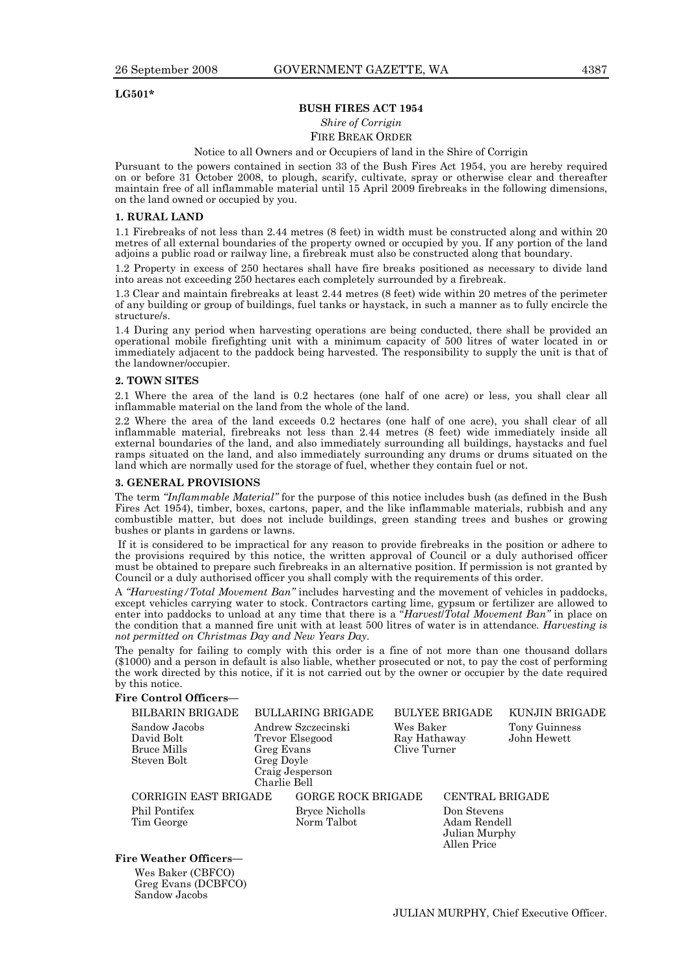## **LG501\***

## **BUSH FIRES ACT 1954**

## *Shire of Corrigin*

## FIRE BREAK ORDER

### Notice to all Owners and or Occupiers of land in the Shire of Corrigin

Pursuant to the powers contained in section 33 of the Bush Fires Act 1954, you are hereby required on or before 31 October 2008, to plough, scarify, cultivate, spray or otherwise clear and thereafter maintain free of all inflammable material until 15 April 2009 firebreaks in the following dimensions, on the land owned or occupied by you.

### **1. RURAL LAND**

1.1 Firebreaks of not less than 2.44 metres (8 feet) in width must be constructed along and within 20 metres of all external boundaries of the property owned or occupied by you. If any portion of the land adjoins a public road or railway line, a firebreak must also be constructed along that boundary.

1.2 Property in excess of 250 hectares shall have fire breaks positioned as necessary to divide land into areas not exceeding 250 hectares each completely surrounded by a firebreak.

1.3 Clear and maintain firebreaks at least 2.44 metres (8 feet) wide within 20 metres of the perimeter of any building or group of buildings, fuel tanks or haystack, in such a manner as to fully encircle the structure/s.

1.4 During any period when harvesting operations are being conducted, there shall be provided an operational mobile firefighting unit with a minimum capacity of 500 litres of water located in or immediately adjacent to the paddock being harvested. The responsibility to supply the unit is that of the landowner/occupier.

### **2. TOWN SITES**

2.1 Where the area of the land is 0.2 hectares (one half of one acre) or less, you shall clear all inflammable material on the land from the whole of the land.

2.2 Where the area of the land exceeds 0.2 hectares (one half of one acre), you shall clear of all inflammable material, firebreaks not less than 2.44 metres (8 feet) wide immediately inside all external boundaries of the land, and also immediately surrounding all buildings, haystacks and fuel ramps situated on the land, and also immediately surrounding any drums or drums situated on the land which are normally used for the storage of fuel, whether they contain fuel or not.

## **3. GENERAL PROVISIONS**

The term *"Inflammable Material"* for the purpose of this notice includes bush (as defined in the Bush Fires Act 1954), timber, boxes, cartons, paper, and the like inflammable materials, rubbish and any combustible matter, but does not include buildings, green standing trees and bushes or growing bushes or plants in gardens or lawns.

 If it is considered to be impractical for any reason to provide firebreaks in the position or adhere to the provisions required by this notice, the written approval of Council or a duly authorised officer must be obtained to prepare such firebreaks in an alternative position. If permission is not granted by Council or a duly authorised officer you shall comply with the requirements of this order.

A *"Harvesting/Total Movement Ban"* includes harvesting and the movement of vehicles in paddocks, except vehicles carrying water to stock. Contractors carting lime, gypsum or fertilizer are allowed to enter into paddocks to unload at any time that there is a "*Harvest*/*Total Movement Ban"* in place on the condition that a manned fire unit with at least 500 litres of water is in attendance. *Harvesting is not permitted on Christmas Day and New Years Day.* 

The penalty for failing to comply with this order is a fine of not more than one thousand dollars (\$1000) and a person in default is also liable, whether prosecuted or not, to pay the cost of performing the work directed by this notice, if it is not carried out by the owner or occupier by the date required by this notice.

## **Fire Control Officers—**

| <b>BILBARIN BRIGADE</b>                           | <b>BULLARING BRIGADE</b>                            |                           | <b>BULYEE BRIGADE</b>                        | KUNJIN BRIGADE               |
|---------------------------------------------------|-----------------------------------------------------|---------------------------|----------------------------------------------|------------------------------|
| Sandow Jacobs<br>David Bolt<br><b>Bruce Mills</b> | Andrew Szczecinski<br>Trevor Elsegood<br>Greg Evans | Wes Baker<br>Clive Turner | Ray Hathaway                                 | Tony Guinness<br>John Hewett |
| Steven Bolt                                       | Greg Doyle<br>Craig Jesperson<br>Charlie Bell       |                           |                                              |                              |
| CORRIGIN EAST BRIGADE                             |                                                     | <b>GORGE ROCK BRIGADE</b> | CENTRAL BRIGADE                              |                              |
| Phil Pontifex<br>Tim George                       | <b>Bryce Nicholls</b><br>Norm Talbot                |                           | Don Stevens<br>Adam Rendell<br>Julian Murphy |                              |

## **Fire Weather Officers—**

Wes Baker (CBFCO) Greg Evans (DCBFCO) Sandow Jacobs

Allen Price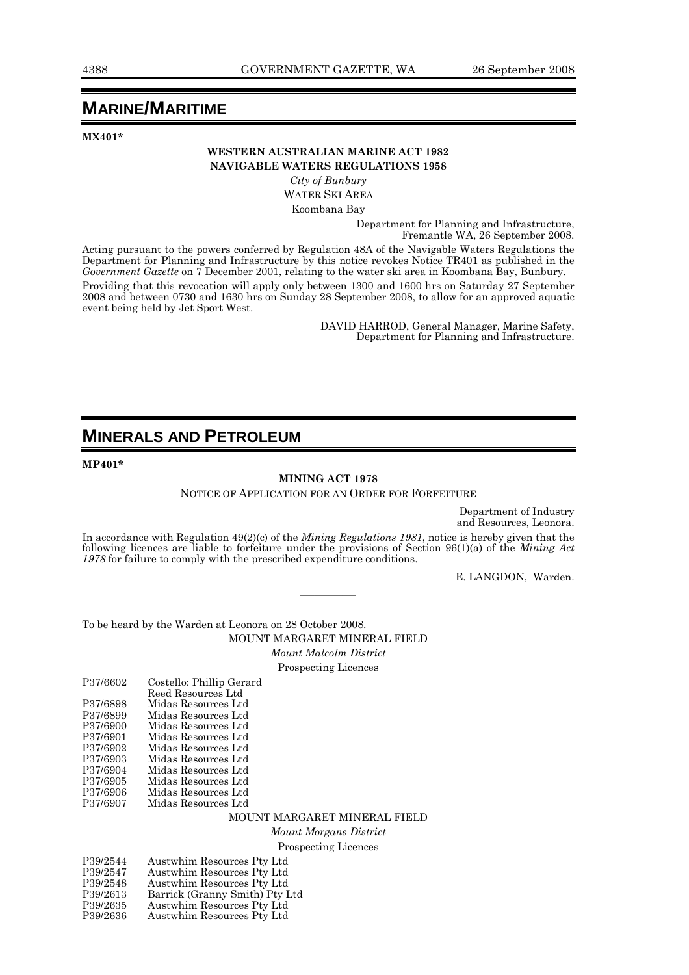## **MARINE/MARITIME**

**MX401\*** 

## **WESTERN AUSTRALIAN MARINE ACT 1982 NAVIGABLE WATERS REGULATIONS 1958**

*City of Bunbury*  WATER SKI AREA

Koombana Bay

Department for Planning and Infrastructure, Fremantle WA, 26 September 2008.

Acting pursuant to the powers conferred by Regulation 48A of the Navigable Waters Regulations the Department for Planning and Infrastructure by this notice revokes Notice TR401 as published in the *Government Gazette* on 7 December 2001, relating to the water ski area in Koombana Bay, Bunbury. Providing that this revocation will apply only between 1300 and 1600 hrs on Saturday 27 September 2008 and between 0730 and 1630 hrs on Sunday 28 September 2008, to allow for an approved aquatic event being held by Jet Sport West.

> DAVID HARROD, General Manager, Marine Safety, Department for Planning and Infrastructure.

## **MINERALS AND PETROLEUM**

**MP401\*** 

## **MINING ACT 1978**

NOTICE OF APPLICATION FOR AN ORDER FOR FORFEITURE

Department of Industry and Resources, Leonora.

In accordance with Regulation 49(2)(c) of the *Mining Regulations 1981*, notice is hereby given that the following licences are liable to forfeiture under the provisions of Section 96(1)(a) of the *Mining Act 1978* for failure to comply with the prescribed expenditure conditions.

————

E. LANGDON, Warden.

To be heard by the Warden at Leonora on 28 October 2008.

MOUNT MARGARET MINERAL FIELD *Mount Malcolm District*  Prospecting Licences

| P37/6602 | Costello: Phillip Gerard |
|----------|--------------------------|
|          | Reed Resources Ltd       |
| P37/6898 | Midas Resources Ltd      |
| P37/6899 | Midas Resources Ltd      |
| P37/6900 | Midas Resources Ltd      |
| P37/6901 | Midas Resources Ltd      |
| P37/6902 | Midas Resources Ltd      |
| P37/6903 | Midas Resources Ltd      |
| P37/6904 | Midas Resources Ltd      |
| P37/6905 | Midas Resources Ltd      |
| P37/6906 | Midas Resources Ltd      |
| P37/6907 | Midas Resources Ltd      |
|          |                          |

MOUNT MARGARET MINERAL FIELD

*Mount Morgans District*  Prospecting Licences

| P39/2544 | Austwhim Resources Pty Ltd     |
|----------|--------------------------------|
| P39/2547 | Austwhim Resources Pty Ltd     |
| P39/2548 | Austwhim Resources Pty Ltd     |
| P39/2613 | Barrick (Granny Smith) Pty Ltd |
| P39/2635 | Austwhim Resources Pty Ltd     |
| P39/2636 | Austwhim Resources Pty Ltd     |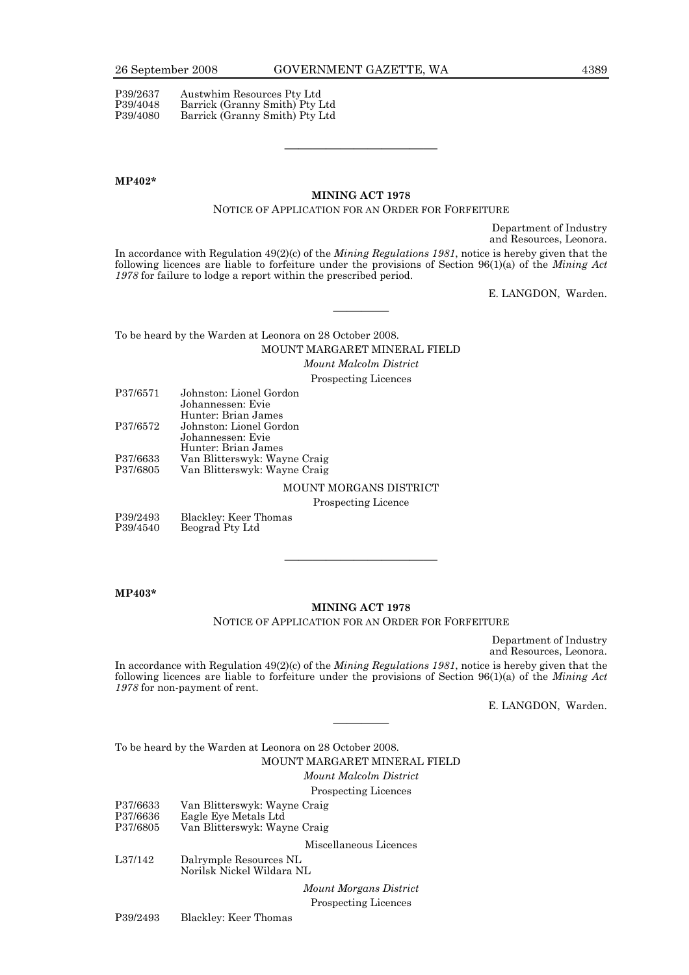P39/2637 Austwhim Resources Pty Ltd<br>P39/4048 Barrick (Granny Smith) Pty I Barrick (Granny Smith) Pty Ltd P39/4080 Barrick (Granny Smith) Pty Ltd

### **MP402\***

## **MINING ACT 1978**

## NOTICE OF APPLICATION FOR AN ORDER FOR FORFEITURE

———————————

Department of Industry and Resources, Leonora.

In accordance with Regulation 49(2)(c) of the *Mining Regulations 1981*, notice is hereby given that the following licences are liable to forfeiture under the provisions of Section 96(1)(a) of the *Mining Act 1978* for failure to lodge a report within the prescribed period.

————

E. LANGDON, Warden.

To be heard by the Warden at Leonora on 28 October 2008. MOUNT MARGARET MINERAL FIELD

*Mount Malcolm District* 

Prospecting Licences

| P37/6571 | Johnston: Lionel Gordon      |
|----------|------------------------------|
|          | Johannessen: Evie            |
|          | Hunter: Brian James          |
| P37/6572 | Johnston: Lionel Gordon      |
|          | Johannessen: Evie            |
|          | Hunter: Brian James          |
| P37/6633 | Van Blitterswyk: Wayne Craig |
| P37/6805 | Van Blitterswyk: Wayne Craig |
|          | MOUNTENT MARCHAIGHT          |

## MOUNT MORGANS DISTRICT

Prospecting Licence

| P39/2493 | Blackley: Keer Thomas |
|----------|-----------------------|
| P39/4540 | Beograd Pty Ltd       |

**MP403\*** 

## **MINING ACT 1978**

———————————

NOTICE OF APPLICATION FOR AN ORDER FOR FORFEITURE

Department of Industry and Resources, Leonora.

In accordance with Regulation 49(2)(c) of the *Mining Regulations 1981*, notice is hereby given that the following licences are liable to forfeiture under the provisions of Section 96(1)(a) of the *Mining Act 1978* for non-payment of rent.

————

E. LANGDON, Warden.

To be heard by the Warden at Leonora on 28 October 2008. MOUNT MARGARET MINERAL FIELD *Mount Malcolm District* 

Prospecting Licences

|                                  | $1.00$ $\mu$ $\sigma$ $\sigma$ $\frac{1}{2}$ and $\sigma$ and $\sigma$               |
|----------------------------------|--------------------------------------------------------------------------------------|
| P37/6633<br>P37/6636<br>P37/6805 | Van Blitterswyk: Wayne Craig<br>Eagle Eye Metals Ltd<br>Van Blitterswyk: Wayne Craig |
|                                  | Miscellaneous Licences                                                               |
| L37/142                          | Dalrymple Resources NL<br>Norilsk Nickel Wildara NL                                  |
|                                  | Mount Morgans District                                                               |
|                                  | <b>Prospecting Licences</b>                                                          |

P39/2493 Blackley: Keer Thomas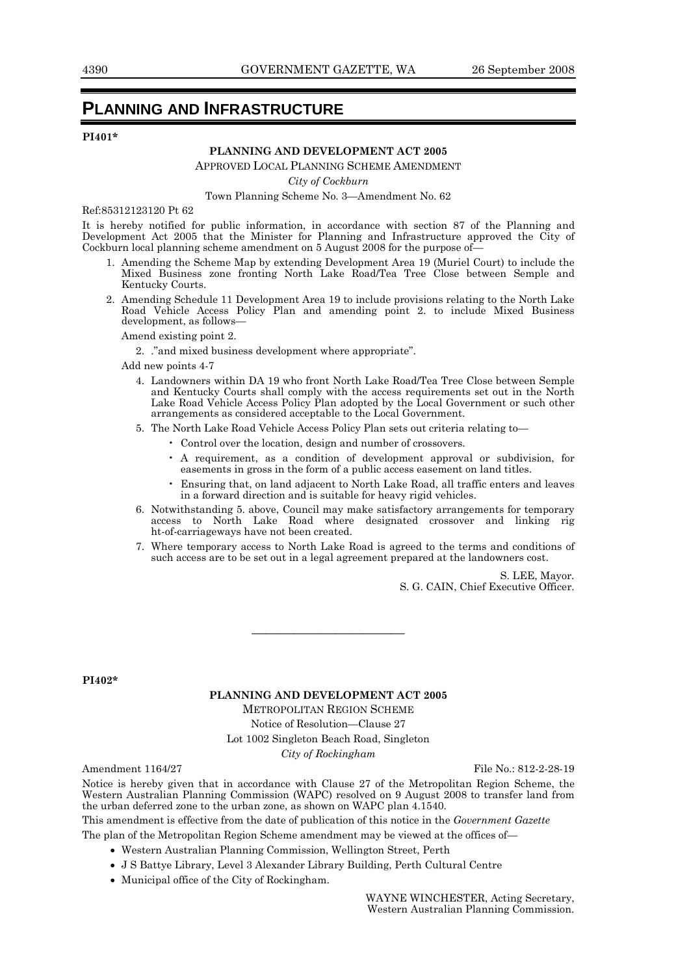## **PLANNING AND INFRASTRUCTURE**

## **PI401\***

## **PLANNING AND DEVELOPMENT ACT 2005**

APPROVED LOCAL PLANNING SCHEME AMENDMENT

*City of Cockburn* 

## Town Planning Scheme No. 3—Amendment No. 62

Ref:85312123120 Pt 62

It is hereby notified for public information, in accordance with section 87 of the Planning and Development Act 2005 that the Minister for Planning and Infrastructure approved the City of Cockburn local planning scheme amendment on  $5$  August 2008 for the purpose of-

- 1. Amending the Scheme Map by extending Development Area 19 (Muriel Court) to include the Mixed Business zone fronting North Lake Road/Tea Tree Close between Semple and Kentucky Courts.
- 2. Amending Schedule 11 Development Area 19 to include provisions relating to the North Lake Road Vehicle Access Policy Plan and amending point 2. to include Mixed Business development, as follows—

Amend existing point 2.

2. ."and mixed business development where appropriate".

Add new points 4-7

 4. Landowners within DA 19 who front North Lake Road/Tea Tree Close between Semple and Kentucky Courts shall comply with the access requirements set out in the North Lake Road Vehicle Access Policy Plan adopted by the Local Government or such other arrangements as considered acceptable to the Local Government.

5. The North Lake Road Vehicle Access Policy Plan sets out criteria relating to—

- Control over the location, design and number of crossovers.
- A requirement, as a condition of development approval or subdivision, for easements in gross in the form of a public access easement on land titles.
- Ensuring that, on land adjacent to North Lake Road, all traffic enters and leaves in a forward direction and is suitable for heavy rigid vehicles.
- 6. Notwithstanding 5. above, Council may make satisfactory arrangements for temporary access to North Lake Road where designated crossover and linking rig ht-of-carriageways have not been created.
- 7. Where temporary access to North Lake Road is agreed to the terms and conditions of such access are to be set out in a legal agreement prepared at the landowners cost.

S. LEE, Mayor. S. G. CAIN, Chief Executive Officer.

**PI402\*** 

### **PLANNING AND DEVELOPMENT ACT 2005**

———————————

METROPOLITAN REGION SCHEME

Notice of Resolution—Clause 27

Lot 1002 Singleton Beach Road, Singleton

*City of Rockingham* 

Amendment 1164/27 File No.: 812-2-28-19

Notice is hereby given that in accordance with Clause 27 of the Metropolitan Region Scheme, the Western Australian Planning Commission (WAPC) resolved on 9 August 2008 to transfer land from the urban deferred zone to the urban zone, as shown on WAPC plan 4.1540.

This amendment is effective from the date of publication of this notice in the *Government Gazette* 

The plan of the Metropolitan Region Scheme amendment may be viewed at the offices of—

- Western Australian Planning Commission, Wellington Street, Perth
- J S Battye Library, Level 3 Alexander Library Building, Perth Cultural Centre
- Municipal office of the City of Rockingham.

WAYNE WINCHESTER, Acting Secretary, Western Australian Planning Commission.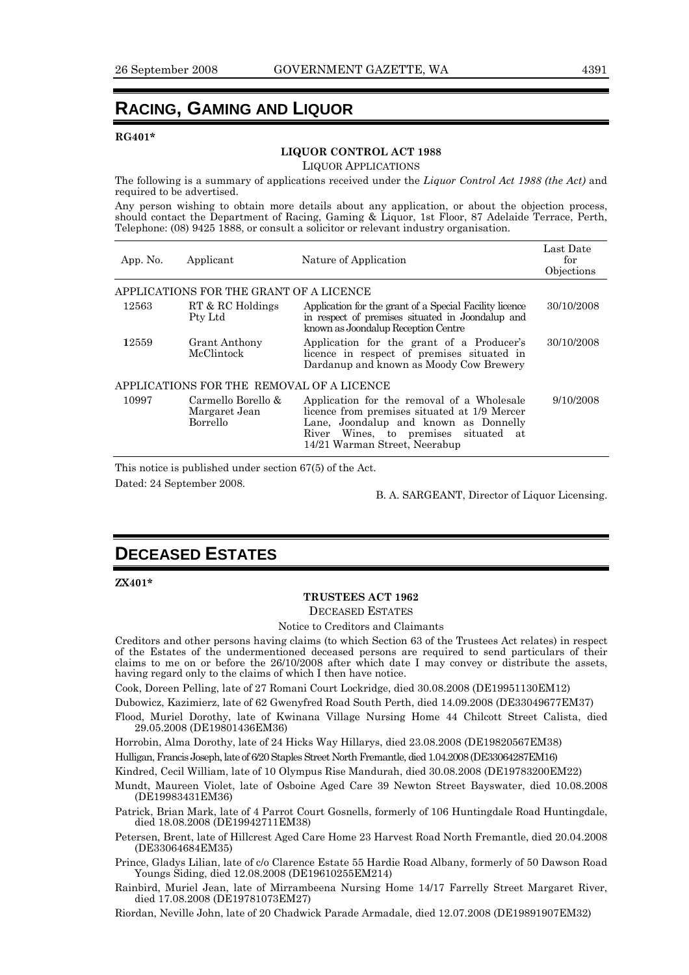## **RACING, GAMING AND LIQUOR**

## **RG401\***

## **LIQUOR CONTROL ACT 1988**

LIQUOR APPLICATIONS

The following is a summary of applications received under the *Liquor Control Act 1988 (the Act)* and required to be advertised.

Any person wishing to obtain more details about any application, or about the objection process, should contact the Department of Racing, Gaming & Liquor, 1st Floor, 87 Adelaide Terrace, Perth, Telephone: (08) 9425 1888, or consult a solicitor or relevant industry organisation.

| App. No. | Applicant                                       | Nature of Application                                                                                                                                                                                        | Last Date<br>for<br>Objections |
|----------|-------------------------------------------------|--------------------------------------------------------------------------------------------------------------------------------------------------------------------------------------------------------------|--------------------------------|
|          | APPLICATIONS FOR THE GRANT OF A LICENCE         |                                                                                                                                                                                                              |                                |
| 12563    | RT & RC Holdings<br>Pty Ltd                     | Application for the grant of a Special Facility licence<br>in respect of premises situated in Joondalup and<br>known as Joondalup Reception Centre                                                           | 30/10/2008                     |
| 12559    | <b>Grant Anthony</b><br>McClintock              | Application for the grant of a Producer's<br>licence in respect of premises situated in<br>Dardanup and known as Moody Cow Brewery                                                                           | 30/10/2008                     |
|          | APPLICATIONS FOR THE REMOVAL OF A LICENCE       |                                                                                                                                                                                                              |                                |
| 10997    | Carmello Borello &<br>Margaret Jean<br>Borrello | Application for the removal of a Wholesale<br>licence from premises situated at 1/9 Mercer<br>Lane, Joondalup and known as Donnelly<br>River Wines, to premises situated at<br>14/21 Warman Street, Neerabup | 9/10/2008                      |

This notice is published under section 67(5) of the Act.

Dated: 24 September 2008.

B. A. SARGEANT, Director of Liquor Licensing.

## **DECEASED ESTATES**

**ZX401\*** 

## **TRUSTEES ACT 1962**

DECEASED ESTATES

Notice to Creditors and Claimants

Creditors and other persons having claims (to which Section 63 of the Trustees Act relates) in respect of the Estates of the undermentioned deceased persons are required to send particulars of their claims to me on or before the 26/10/2008 after which date I may convey or distribute the assets, having regard only to the claims of which I then have notice.

Cook, Doreen Pelling, late of 27 Romani Court Lockridge, died 30.08.2008 (DE19951130EM12)

Dubowicz, Kazimierz, late of 62 Gwenyfred Road South Perth, died 14.09.2008 (DE33049677EM37)

Flood, Muriel Dorothy, late of Kwinana Village Nursing Home 44 Chilcott Street Calista, died 29.05.2008 (DE19801436EM36)

Horrobin, Alma Dorothy, late of 24 Hicks Way Hillarys, died 23.08.2008 (DE19820567EM38)

Hulligan, Francis Joseph, late of 6/20 Staples Street North Fremantle, died 1.04.2008 (DE33064287EM16)

Kindred, Cecil William, late of 10 Olympus Rise Mandurah, died 30.08.2008 (DE19783200EM22)

Mundt, Maureen Violet, late of Osboine Aged Care 39 Newton Street Bayswater, died 10.08.2008 (DE19983431EM36)

Patrick, Brian Mark, late of 4 Parrot Court Gosnells, formerly of 106 Huntingdale Road Huntingdale, died 18.08.2008 (DE19942711EM38)

Petersen, Brent, late of Hillcrest Aged Care Home 23 Harvest Road North Fremantle, died 20.04.2008 (DE33064684EM35)

Prince, Gladys Lilian, late of c/o Clarence Estate 55 Hardie Road Albany, formerly of 50 Dawson Road Youngs Siding, died 12.08.2008 (DE19610255EM214)

Rainbird, Muriel Jean, late of Mirrambeena Nursing Home 14/17 Farrelly Street Margaret River, died 17.08.2008 (DE19781073EM27)

Riordan, Neville John, late of 20 Chadwick Parade Armadale, died 12.07.2008 (DE19891907EM32)